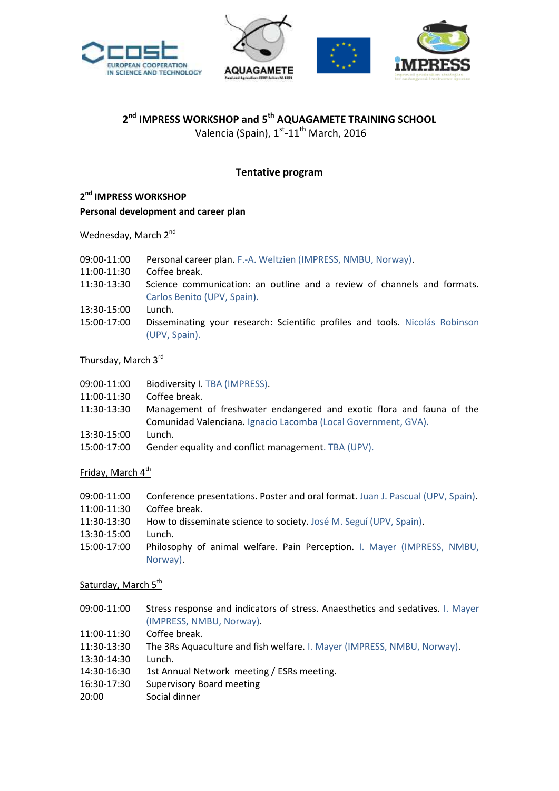



# **2 nd IMPRESS WORKSHOP and 5 th AQUAGAMETE TRAINING SCHOOL**

Valencia (Spain), 1<sup>st</sup>-11<sup>th</sup> March, 2016

## **Tentative program**

## **2 nd IMPRESS WORKSHOP**

#### **Personal development and career plan**

## Wednesday, March 2<sup>nd</sup>

| 09:00-11:00<br>11:00-11:30 | Personal career plan. F.-A. Weltzien (IMPRESS, NMBU, Norway).<br>Coffee break. |
|----------------------------|--------------------------------------------------------------------------------|
| 11:30-13:30                | Science communication: an outline and a review of channels and formats.        |
|                            | Carlos Benito (UPV, Spain).                                                    |
| 13:30-15:00                | Lunch.                                                                         |
| 15:00-17:00                | Disseminating your research: Scientific profiles and tools. Nicolás Robinson   |
|                            | (UPV, Spain).                                                                  |

#### Thursday, March 3<sup>rd</sup>

- 09:00-11:00 Biodiversity I. TBA (IMPRESS).
- 11:00-11:30 Coffee break.
- 11:30-13:30 Management of freshwater endangered and exotic flora and fauna of the Comunidad Valenciana. Ignacio Lacomba (Local Government, GVA).
- 13:30-15:00 Lunch.
- 15:00-17:00 Gender equality and conflict management. TBA (UPV).

#### Friday, March 4<sup>th</sup>

09:00-11:00 Conference presentations. Poster and oral format. Juan J. Pascual (UPV, Spain). 11:00-11:30 Coffee break. 11:30-13:30 How to disseminate science to society. José M. Seguí (UPV, Spain). 13:30-15:00 Lunch. 15:00-17:00 Philosophy of animal welfare. Pain Perception. I. Mayer (IMPRESS, NMBU, Norway).

#### Saturday, March 5<sup>th</sup>

- 09:00-11:00 Stress response and indicators of stress. Anaesthetics and sedatives. I. Mayer (IMPRESS, NMBU, Norway).
- 11:00-11:30 Coffee break.
- 11:30-13:30 The 3Rs Aquaculture and fish welfare. I. Mayer (IMPRESS, NMBU, Norway).
- 13:30-14:30 Lunch.
- 14:30-16:30 1st Annual Network meeting / ESRs meeting.
- 16:30-17:30 Supervisory Board meeting
- 20:00 Social dinner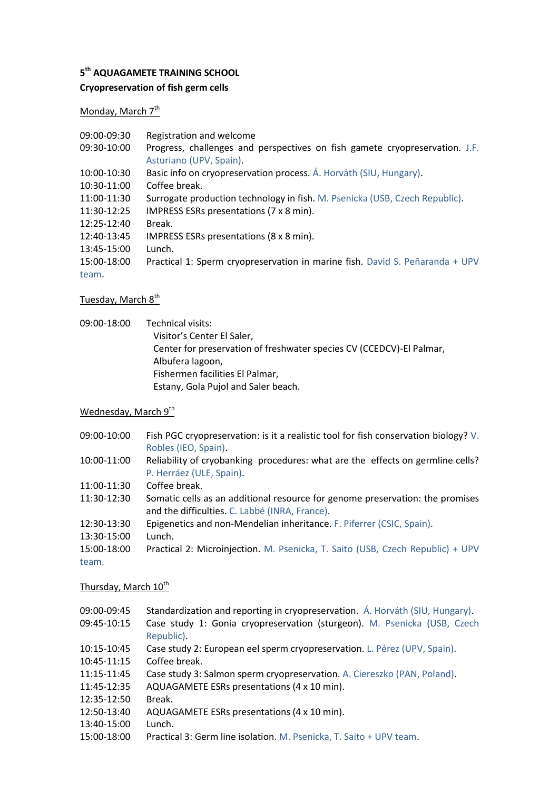#### **5 th AQUAGAMETE TRAINING SCHOOL**

# **Cryopreservation of fish germ cells**

Monday, March 7<sup>th</sup>

| 09:00-09:30 | Registration and welcome                                                     |
|-------------|------------------------------------------------------------------------------|
| 09:30-10:00 | Progress, challenges and perspectives on fish gamete cryopreservation. J.F.  |
|             | Asturiano (UPV, Spain).                                                      |
| 10:00-10:30 | Basic info on cryopreservation process. A. Horváth (SIU, Hungary).           |
| 10:30-11:00 | Coffee break.                                                                |
| 11:00-11:30 | Surrogate production technology in fish. M. Psenicka (USB, Czech Republic).  |
| 11:30-12:25 | IMPRESS ESRs presentations (7 x 8 min).                                      |
| 12:25-12:40 | Break.                                                                       |
| 12:40-13:45 | IMPRESS ESRs presentations (8 x 8 min).                                      |
| 13:45-15:00 | Lunch.                                                                       |
| 15:00-18:00 | Practical 1: Sperm cryopreservation in marine fish. David S. Peñaranda + UPV |
| team.       |                                                                              |

# Tuesday, March 8<sup>th</sup>

09:00-18:00 Technical visits: Visitor's Center El Saler, Center for preservation of freshwater species CV (CCEDCV)-El Palmar, Albufera lagoon, Fishermen facilities El Palmar, Estany, Gola Pujol and Saler beach.

# Wednesday, March 9<sup>th</sup>

| 09:00-10:00          | Fish PGC cryopreservation: is it a realistic tool for fish conservation biology? V.<br>Robles (IEO, Spain).                     |
|----------------------|---------------------------------------------------------------------------------------------------------------------------------|
| 10:00-11:00          | Reliability of cryobanking procedures: what are the effects on germline cells?<br>P. Herráez (ULE, Spain).                      |
| 11:00-11:30          | Coffee break.                                                                                                                   |
| 11:30-12:30          | Somatic cells as an additional resource for genome preservation: the promises<br>and the difficulties. C. Labbé (INRA, France). |
| 12:30-13:30          | Epigenetics and non-Mendelian inheritance. F. Piferrer (CSIC, Spain).                                                           |
| 13:30-15:00          | Lunch.                                                                                                                          |
| 15:00-18:00<br>team. | Practical 2: Microinjection. M. Psenicka, T. Saito (USB, Czech Republic) + UPV                                                  |

## Thursday, March 10<sup>th</sup>

| 09:00-09:45<br>09:45-10:15 | Standardization and reporting in cryopreservation. A. Horváth (SIU, Hungary).<br>Case study 1: Gonia cryopreservation (sturgeon). M. Psenicka (USB, Czech |
|----------------------------|-----------------------------------------------------------------------------------------------------------------------------------------------------------|
|                            | Republic).                                                                                                                                                |
| 10:15-10:45                | Case study 2: European eel sperm cryopreservation. L. Pérez (UPV, Spain).                                                                                 |
| 10:45-11:15                | Coffee break.                                                                                                                                             |
| 11:15-11:45                | Case study 3: Salmon sperm cryopreservation. A. Ciereszko (PAN, Poland).                                                                                  |
| 11:45-12:35                | AQUAGAMETE ESRs presentations (4 x 10 min).                                                                                                               |
| 12:35-12:50                | Break.                                                                                                                                                    |
| 12:50-13:40                | AQUAGAMETE ESRs presentations (4 x 10 min).                                                                                                               |
| 13:40-15:00                | Lunch.                                                                                                                                                    |
| 15:00-18:00                | Practical 3: Germ line isolation. M. Psenicka, T. Saito + UPV team.                                                                                       |